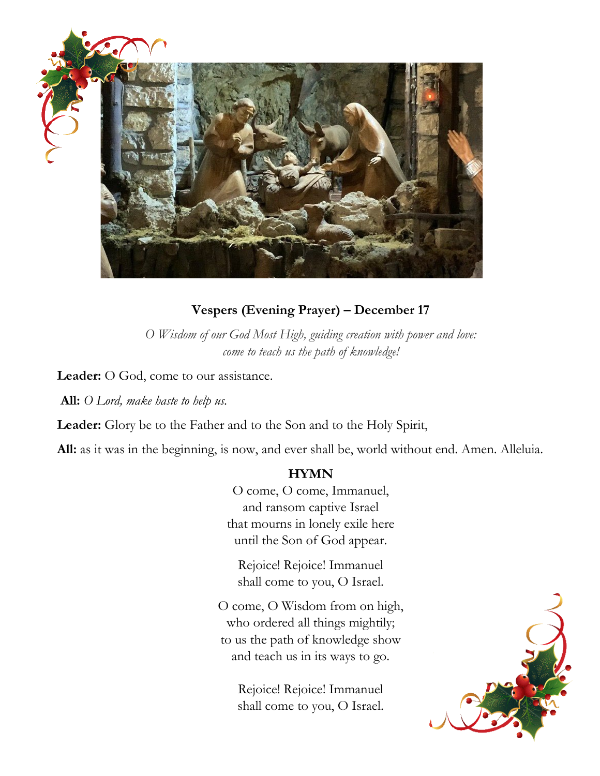

### **Vespers (Evening Prayer) – December 17**

*O Wisdom of our God Most High, guiding creation with power and love: come to teach us the path of knowledge!*

**Leader:** O God, come to our assistance.

**All:** *O Lord, make haste to help us.*

**Leader:** Glory be to the Father and to the Son and to the Holy Spirit,

**All:** as it was in the beginning, is now, and ever shall be, world without end. Amen. Alleluia.

#### **HYMN**

O come, O come, Immanuel, and ransom captive Israel that mourns in lonely exile here until the Son of God appear.

Rejoice! Rejoice! Immanuel shall come to you, O Israel.

O come, O Wisdom from on high, who ordered all things mightily; to us the path of knowledge show and teach us in its ways to go.

> Rejoice! Rejoice! Immanuel shall come to you, O Israel.

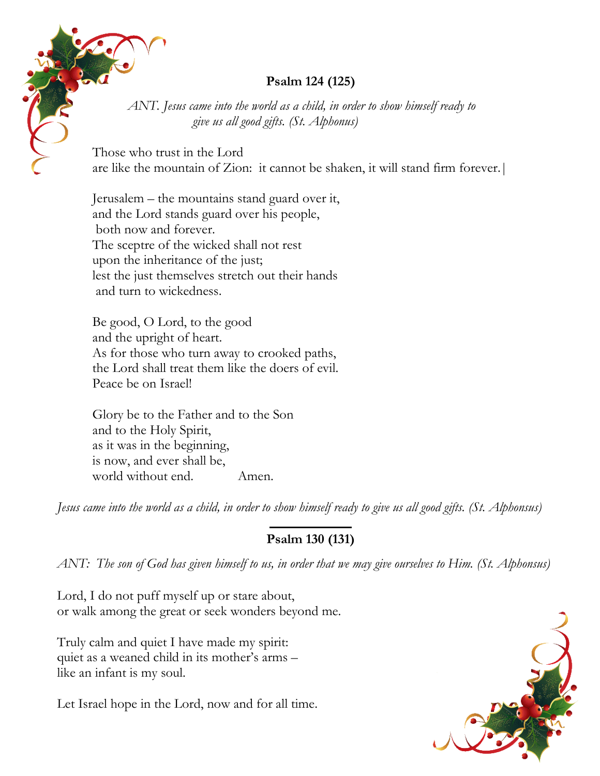## **Psalm 124 (125)**

*ANT. Jesus came into the world as a child, in order to show himself ready to give us all good gifts. (St. Alphonus)*

Those who trust in the Lord are like the mountain of Zion: it cannot be shaken, it will stand firm forever.|

Jerusalem – the mountains stand guard over it, and the Lord stands guard over his people, both now and forever. The sceptre of the wicked shall not rest upon the inheritance of the just; lest the just themselves stretch out their hands and turn to wickedness.

Be good, O Lord, to the good and the upright of heart. As for those who turn away to crooked paths, the Lord shall treat them like the doers of evil. Peace be on Israel!

Glory be to the Father and to the Son and to the Holy Spirit, as it was in the beginning, is now, and ever shall be, world without end. Amen.

*Jesus came into the world as a child, in order to show himself ready to give us all good gifts. (St. Alphonsus)*

# **Psalm 130 (131)**

*ANT: The son of God has given himself to us, in order that we may give ourselves to Him. (St. Alphonsus)*

Lord, I do not puff myself up or stare about, or walk among the great or seek wonders beyond me.

Truly calm and quiet I have made my spirit: quiet as a weaned child in its mother's arms – like an infant is my soul.

Let Israel hope in the Lord, now and for all time.

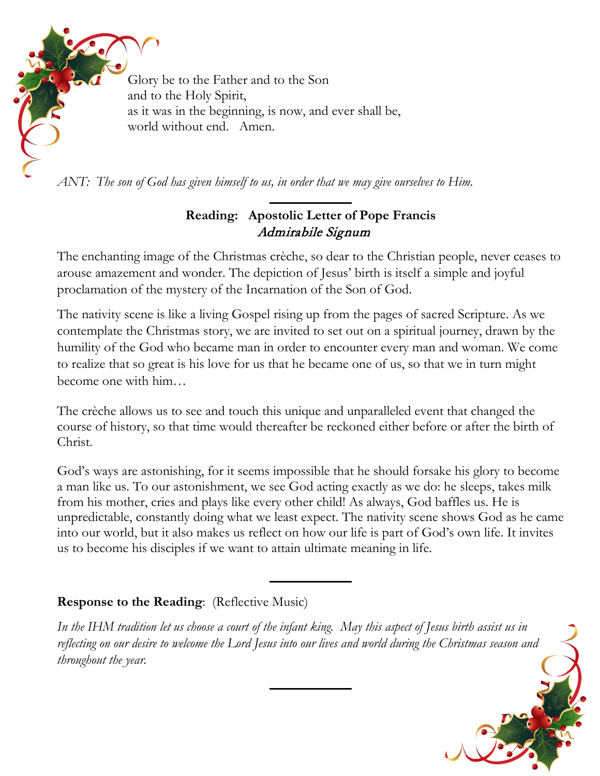

*ANT: The son of God has given himself to us, in order that we may give ourselves to Him.* 

## **Reading: Apostolic Letter of Pope Francis** Admirabile Signum

The enchanting image of the Christmas crèche, so dear to the Christian people, never ceases to arouse amazement and wonder. The depiction of Jesus' birth is itself a simple and joyful proclamation of the mystery of the Incarnation of the Son of God.

The nativity scene is like a living Gospel rising up from the pages of sacred Scripture. As we contemplate the Christmas story, we are invited to set out on a spiritual journey, drawn by the humility of the God who became man in order to encounter every man and woman. We come to realize that so great is his love for us that he became one of us, so that we in turn might become one with him…

The crèche allows us to see and touch this unique and unparalleled event that changed the course of history, so that time would thereafter be reckoned either before or after the birth of Christ.

God's ways are astonishing, for it seems impossible that he should forsake his glory to become a man like us. To our astonishment, we see God acting exactly as we do: he sleeps, takes milk from his mother, cries and plays like every other child! As always, God baffles us. He is unpredictable, constantly doing what we least expect. The nativity scene shows God as he came into our world, but it also makes us reflect on how our life is part of God's own life. It invites us to become his disciples if we want to attain ultimate meaning in life.

## **Response to the Reading**: (Reflective Music)

*In the IHM tradition let us choose a court of the infant king. May this aspect of Jesus birth assist us in reflecting on our desire to welcome the Lord Jesus into our lives and world during the Christmas season and throughout the year.*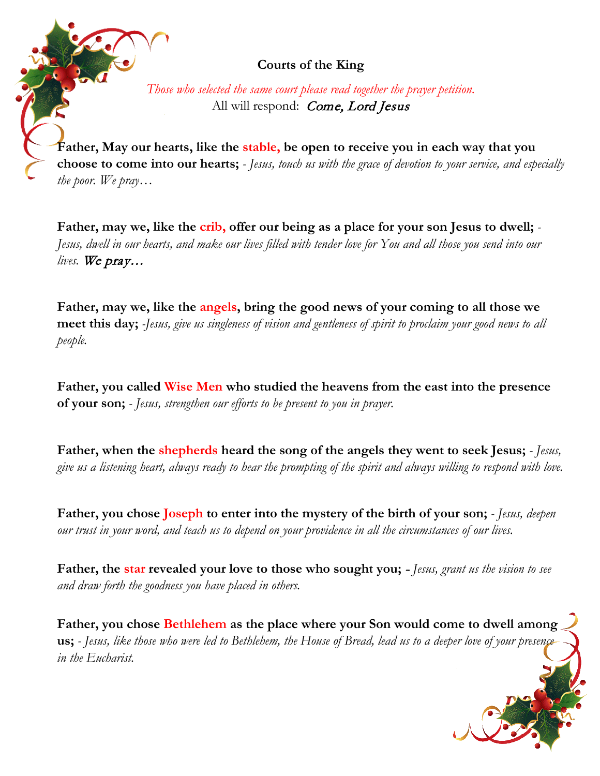**Courts of the King**

*Those who selected the same court please read together the prayer petition.* All will respond: Come, Lord Jesus

**Father, May our hearts, like the stable, be open to receive you in each way that you choose to come into our hearts;** *- Jesus, touch us with the grace of devotion to your service, and especially the poor. We pray…*

**Father, may we, like the crib, offer our being as a place for your son Jesus to dwell;** *- Jesus, dwell in our hearts, and make our lives filled with tender love for You and all those you send into our lives.* We pray…

**Father, may we, like the angels, bring the good news of your coming to all those we meet this day;** *-Jesus, give us singleness of vision and gentleness of spirit to proclaim your good news to all people.*

**Father, you called Wise Men who studied the heavens from the east into the presence of your son;** *- Jesus, strengthen our efforts to be present to you in prayer.*

**Father, when the shepherds heard the song of the angels they went to seek Jesus;** *- Jesus, give us a listening heart, always ready to hear the prompting of the spirit and always willing to respond with love.* 

**Father, you chose Joseph to enter into the mystery of the birth of your son;** *- Jesus, deepen our trust in your word, and teach us to depend on your providence in all the circumstances of our lives.*

**Father, the star revealed your love to those who sought you;** - *Jesus, grant us the vision to see and draw forth the goodness you have placed in others.*

**Father, you chose Bethlehem as the place where your Son would come to dwell among us;** *- Jesus, like those who were led to Bethlehem, the House of Bread, lead us to a deeper love of your presence in the Eucharist.*

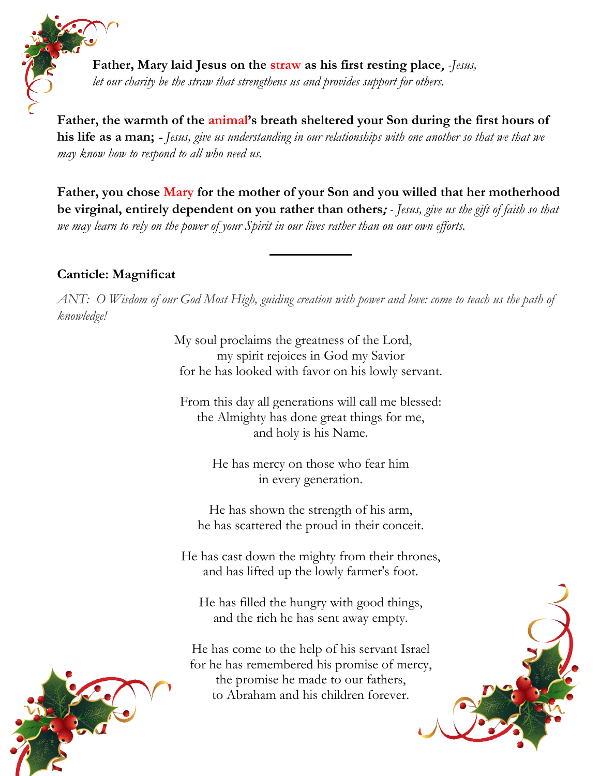**Father, Mary laid Jesus on the straw as his first resting place**, *-Jesus, let our charity be the straw that strengthens us and provides support for others.*

**Father, the warmth of the animal's breath sheltered your Son during the first hours of his life as a man;** - *Jesus, give us understanding in our relationships with one another so that we that we may know how to respond to all who need us.*

**Father, you chose Mary for the mother of your Son and you willed that her motherhood be virginal, entirely dependent on you rather than others**; *- Jesus, give us the gift of faith so that we may learn to rely on the power of your Spirit in our lives rather than on our own efforts.*

### **Canticle: Magnificat**

*ANT: O Wisdom of our God Most High, guiding creation with power and love: come to teach us the path of knowledge!*

> My soul proclaims the greatness of the Lord, my spirit rejoices in God my Savior for he has looked with favor on his lowly servant.

From this day all generations will call me blessed: the Almighty has done great things for me, and holy is his Name.

> He has mercy on those who fear him in every generation.

He has shown the strength of his arm, he has scattered the proud in their conceit.

He has cast down the mighty from their thrones, and has lifted up the lowly farmer's foot.

He has filled the hungry with good things, and the rich he has sent away empty.

He has come to the help of his servant Israel for he has remembered his promise of mercy, the promise he made to our fathers, to Abraham and his children forever.